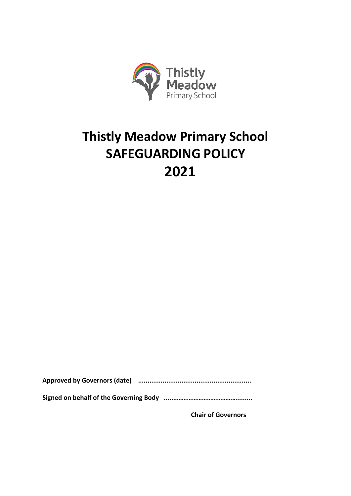

# **Thistly Meadow Primary School SAFEGUARDING POLICY 2021**

**Approved by Governors (date) ............................................................**

**Signed on behalf of the Governing Body .......………………………………........**

**Chair of Governors**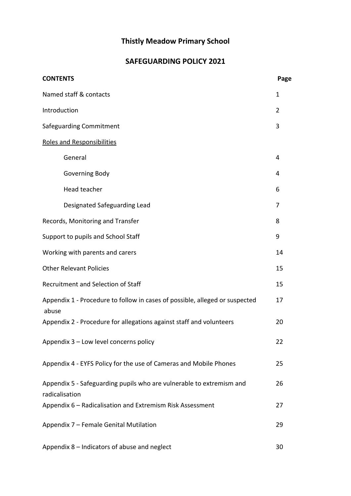# **Thistly Meadow Primary School**

# **SAFEGUARDING POLICY 2021**

| <b>CONTENTS</b>                                                                        | Page |
|----------------------------------------------------------------------------------------|------|
| Named staff & contacts                                                                 | 1    |
| Introduction                                                                           | 2    |
| Safeguarding Commitment                                                                | 3    |
| Roles and Responsibilities                                                             |      |
| General                                                                                | 4    |
| Governing Body                                                                         | 4    |
| Head teacher                                                                           | 6    |
| Designated Safeguarding Lead                                                           | 7    |
| Records, Monitoring and Transfer                                                       | 8    |
| Support to pupils and School Staff                                                     | 9    |
| Working with parents and carers                                                        | 14   |
| <b>Other Relevant Policies</b>                                                         | 15   |
| Recruitment and Selection of Staff                                                     | 15   |
| Appendix 1 - Procedure to follow in cases of possible, alleged or suspected<br>abuse   | 17   |
| Appendix 2 - Procedure for allegations against staff and volunteers                    | 20   |
| Appendix 3 - Low level concerns policy                                                 | 22   |
| Appendix 4 - EYFS Policy for the use of Cameras and Mobile Phones                      | 25   |
| Appendix 5 - Safeguarding pupils who are vulnerable to extremism and<br>radicalisation | 26   |
| Appendix 6 - Radicalisation and Extremism Risk Assessment                              | 27   |
| Appendix 7 - Female Genital Mutilation                                                 | 29   |
| Appendix 8 - Indicators of abuse and neglect                                           | 30   |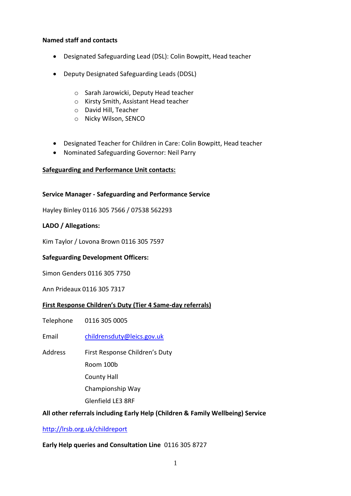#### **Named staff and contacts**

- Designated Safeguarding Lead (DSL): Colin Bowpitt, Head teacher
- Deputy Designated Safeguarding Leads (DDSL)
	- o Sarah Jarowicki, Deputy Head teacher
	- o Kirsty Smith, Assistant Head teacher
	- o David Hill, Teacher
	- o Nicky Wilson, SENCO
- Designated Teacher for Children in Care: Colin Bowpitt, Head teacher
- Nominated Safeguarding Governor: Neil Parry

#### **Safeguarding and Performance Unit contacts:**

#### **Service Manager - Safeguarding and Performance Service**

Hayley Binley 0116 305 7566 / 07538 562293

#### **LADO / Allegations:**

Kim Taylor / Lovona Brown 0116 305 7597

#### **Safeguarding Development Officers:**

Simon Genders 0116 305 7750

Ann Prideaux 0116 305 7317

#### **First Response Children's Duty (Tier 4 Same-day referrals)**

Telephone 0116 305 0005

Email [childrensduty@leics.gov.uk](mailto:childrensduty@leics.gov.uk)

- Address First Response Children's Duty
	- Room 100b
	- County Hall

Championship Way

Glenfield LE3 8RF

# **All other referrals including Early Help (Children & Family Wellbeing) Service**

#### <http://lrsb.org.uk/childreport>

# **Early Help queries and Consultation Line** 0116 305 8727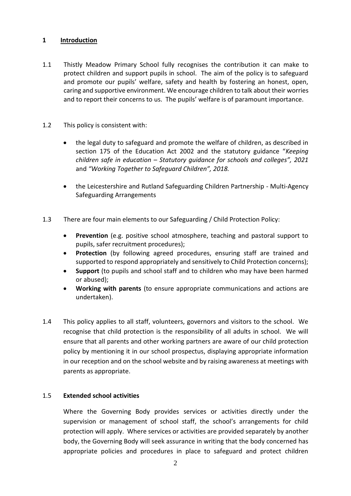# **1 Introduction**

- 1.1 Thistly Meadow Primary School fully recognises the contribution it can make to protect children and support pupils in school. The aim of the policy is to safeguard and promote our pupils' welfare, safety and health by fostering an honest, open, caring and supportive environment. We encourage children to talk about their worries and to report their concerns to us. The pupils' welfare is of paramount importance.
- 1.2 This policy is consistent with:
	- the legal duty to safeguard and promote the welfare of children, as described in section 175 of the Education Act 2002 and the statutory guidance "*Keeping children safe in education – Statutory guidance for schools and colleges", 2021*  and *"Working Together to Safeguard Children", 2018.*
	- the Leicestershire and Rutland Safeguarding Children Partnership Multi-Agency Safeguarding Arrangements
- 1.3 There are four main elements to our Safeguarding / Child Protection Policy:
	- **Prevention** (e.g. positive school atmosphere, teaching and pastoral support to pupils, safer recruitment procedures);
	- **Protection** (by following agreed procedures, ensuring staff are trained and supported to respond appropriately and sensitively to Child Protection concerns);
	- **Support** (to pupils and school staff and to children who may have been harmed or abused);
	- **Working with parents** (to ensure appropriate communications and actions are undertaken).
- 1.4 This policy applies to all staff, volunteers, governors and visitors to the school. We recognise that child protection is the responsibility of all adults in school. We will ensure that all parents and other working partners are aware of our child protection policy by mentioning it in our school prospectus, displaying appropriate information in our reception and on the school website and by raising awareness at meetings with parents as appropriate.

#### 1.5 **Extended school activities**

Where the Governing Body provides services or activities directly under the supervision or management of school staff, the school's arrangements for child protection will apply. Where services or activities are provided separately by another body, the Governing Body will seek assurance in writing that the body concerned has appropriate policies and procedures in place to safeguard and protect children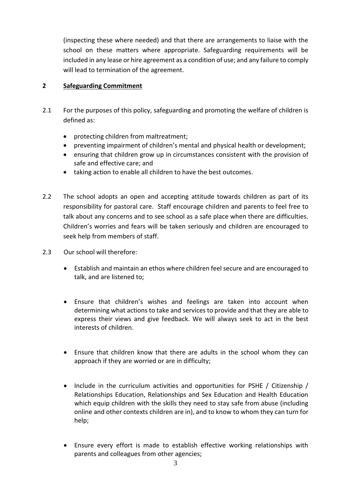(inspecting these where needed) and that there are arrangements to liaise with the school on these matters where appropriate. Safeguarding requirements will be included in any lease or hire agreement as a condition of use; and any failure to comply will lead to termination of the agreement.

# **2 Safeguarding Commitment**

- 2.1 For the purposes of this policy, safeguarding and promoting the welfare of children is defined as:
	- protecting children from maltreatment;
	- preventing impairment of children's mental and physical health or development;
	- ensuring that children grow up in circumstances consistent with the provision of safe and effective care; and
	- taking action to enable all children to have the best outcomes.
- 2.2 The school adopts an open and accepting attitude towards children as part of its responsibility for pastoral care. Staff encourage children and parents to feel free to talk about any concerns and to see school as a safe place when there are difficulties. Children's worries and fears will be taken seriously and children are encouraged to seek help from members of staff.
- 2.3 Our school will therefore:
	- Establish and maintain an ethos where children feel secure and are encouraged to talk, and are listened to;
	- Ensure that children's wishes and feelings are taken into account when determining what actions to take and services to provide and that they are able to express their views and give feedback. We will always seek to act in the best interests of children.
	- Ensure that children know that there are adults in the school whom they can approach if they are worried or are in difficulty;
	- Include in the curriculum activities and opportunities for PSHE / Citizenship / Relationships Education, Relationships and Sex Education and Health Education which equip children with the skills they need to stay safe from abuse (including online and other contexts children are in), and to know to whom they can turn for help;
	- Ensure every effort is made to establish effective working relationships with parents and colleagues from other agencies;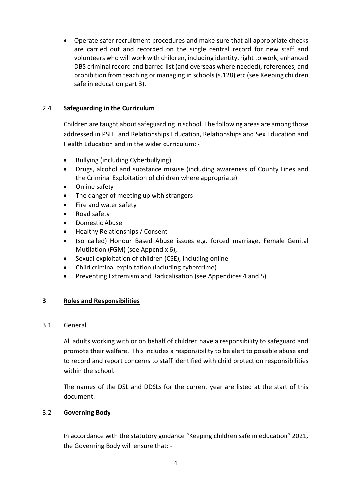Operate safer recruitment procedures and make sure that all appropriate checks are carried out and recorded on the single central record for new staff and volunteers who will work with children, including identity, right to work, enhanced DBS criminal record and barred list (and overseas where needed), references, and prohibition from teaching or managing in schools (s.128) etc (see Keeping children safe in education part 3).

# 2.4 **Safeguarding in the Curriculum**

Children are taught about safeguarding in school. The following areas are among those addressed in PSHE and Relationships Education, Relationships and Sex Education and Health Education and in the wider curriculum: -

- Bullying (including Cyberbullying)
- Drugs, alcohol and substance misuse (including awareness of County Lines and the Criminal Exploitation of children where appropriate)
- Online safety
- The danger of meeting up with strangers
- Fire and water safety
- Road safety
- Domestic Abuse
- Healthy Relationships / Consent
- (so called) Honour Based Abuse issues e.g. forced marriage, Female Genital Mutilation (FGM) (see Appendix 6),
- Sexual exploitation of children (CSE), including online
- Child criminal exploitation (including cybercrime)
- Preventing Extremism and Radicalisation (see Appendices 4 and 5)

# **3 Roles and Responsibilities**

#### 3.1 General

All adults working with or on behalf of children have a responsibility to safeguard and promote their welfare. This includes a responsibility to be alert to possible abuse and to record and report concerns to staff identified with child protection responsibilities within the school.

The names of the DSL and DDSLs for the current year are listed at the start of this document.

# 3.2 **Governing Body**

In accordance with the statutory guidance "Keeping children safe in education" 2021*,*  the Governing Body will ensure that: -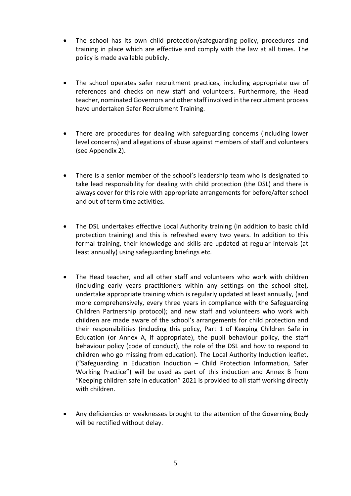- The school has its own child protection/safeguarding policy, procedures and training in place which are effective and comply with the law at all times. The policy is made available publicly.
- The school operates safer recruitment practices, including appropriate use of references and checks on new staff and volunteers. Furthermore, the Head teacher, nominated Governors and other staff involved in the recruitment process have undertaken Safer Recruitment Training.
- There are procedures for dealing with safeguarding concerns (including lower level concerns) and allegations of abuse against members of staff and volunteers (see Appendix 2).
- There is a senior member of the school's leadership team who is designated to take lead responsibility for dealing with child protection (the DSL) and there is always cover for this role with appropriate arrangements for before/after school and out of term time activities.
- The DSL undertakes effective Local Authority training (in addition to basic child protection training) and this is refreshed every two years. In addition to this formal training, their knowledge and skills are updated at regular intervals (at least annually) using safeguarding briefings etc.
- The Head teacher, and all other staff and volunteers who work with children (including early years practitioners within any settings on the school site), undertake appropriate training which is regularly updated at least annually, (and more comprehensively, every three years in compliance with the Safeguarding Children Partnership protocol); and new staff and volunteers who work with children are made aware of the school's arrangements for child protection and their responsibilities (including this policy, Part 1 of Keeping Children Safe in Education (or Annex A, if appropriate), the pupil behaviour policy, the staff behaviour policy (code of conduct), the role of the DSL and how to respond to children who go missing from education). The Local Authority Induction leaflet, ("Safeguarding in Education Induction – Child Protection Information, Safer Working Practice") will be used as part of this induction and Annex B from "Keeping children safe in education" 2021 is provided to all staff working directly with children.
- Any deficiencies or weaknesses brought to the attention of the Governing Body will be rectified without delay.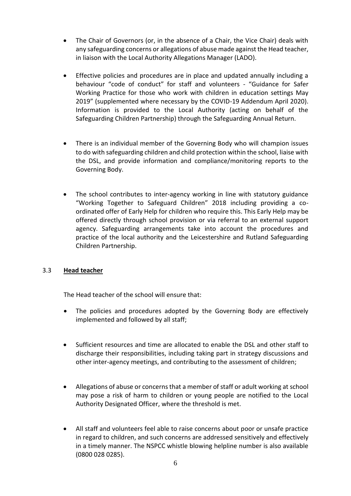- The Chair of Governors (or, in the absence of a Chair, the Vice Chair) deals with any safeguarding concerns or allegations of abuse made against the Head teacher, in liaison with the Local Authority Allegations Manager (LADO).
- Effective policies and procedures are in place and updated annually including a behaviour "code of conduct" for staff and volunteers - "Guidance for Safer Working Practice for those who work with children in education settings May 2019" (supplemented where necessary by the COVID-19 Addendum April 2020). Information is provided to the Local Authority (acting on behalf of the Safeguarding Children Partnership) through the Safeguarding Annual Return.
- There is an individual member of the Governing Body who will champion issues to do with safeguarding children and child protection within the school, liaise with the DSL, and provide information and compliance/monitoring reports to the Governing Body.
- The school contributes to inter-agency working in line with statutory guidance "Working Together to Safeguard Children" 2018 including providing a coordinated offer of Early Help for children who require this. This Early Help may be offered directly through school provision or via referral to an external support agency. Safeguarding arrangements take into account the procedures and practice of the local authority and the Leicestershire and Rutland Safeguarding Children Partnership.

# 3.3 **Head teacher**

The Head teacher of the school will ensure that:

- The policies and procedures adopted by the Governing Body are effectively implemented and followed by all staff;
- Sufficient resources and time are allocated to enable the DSL and other staff to discharge their responsibilities, including taking part in strategy discussions and other inter-agency meetings, and contributing to the assessment of children;
- Allegations of abuse or concerns that a member of staff or adult working at school may pose a risk of harm to children or young people are notified to the Local Authority Designated Officer, where the threshold is met.
- All staff and volunteers feel able to raise concerns about poor or unsafe practice in regard to children, and such concerns are addressed sensitively and effectively in a timely manner. The NSPCC whistle blowing helpline number is also available (0800 028 0285).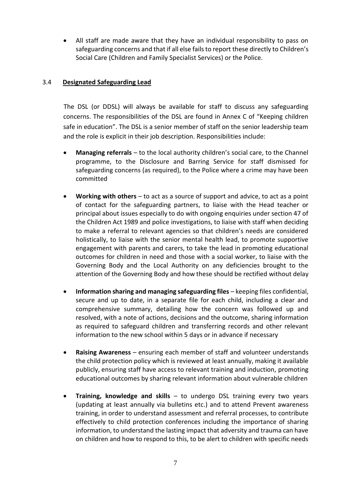All staff are made aware that they have an individual responsibility to pass on safeguarding concerns and that if all else fails to report these directly to Children's Social Care (Children and Family Specialist Services) or the Police.

## 3.4 **Designated Safeguarding Lead**

The DSL (or DDSL) will always be available for staff to discuss any safeguarding concerns. The responsibilities of the DSL are found in Annex C of "Keeping children safe in education". The DSL is a senior member of staff on the senior leadership team and the role is explicit in their job description. Responsibilities include:

- **Managing referrals** to the local authority children's social care, to the Channel programme, to the Disclosure and Barring Service for staff dismissed for safeguarding concerns (as required), to the Police where a crime may have been committed
- **Working with others** to act as a source of support and advice, to act as a point of contact for the safeguarding partners, to liaise with the Head teacher or principal about issues especially to do with ongoing enquiries under section 47 of the Children Act 1989 and police investigations, to liaise with staff when deciding to make a referral to relevant agencies so that children's needs are considered holistically, to liaise with the senior mental health lead, to promote supportive engagement with parents and carers, to take the lead in promoting educational outcomes for children in need and those with a social worker, to liaise with the Governing Body and the Local Authority on any deficiencies brought to the attention of the Governing Body and how these should be rectified without delay
- **Information sharing and managing safeguarding files** keeping files confidential, secure and up to date, in a separate file for each child, including a clear and comprehensive summary, detailing how the concern was followed up and resolved, with a note of actions, decisions and the outcome, sharing information as required to safeguard children and transferring records and other relevant information to the new school within 5 days or in advance if necessary
- **Raising Awareness** ensuring each member of staff and volunteer understands the child protection policy which is reviewed at least annually, making it available publicly, ensuring staff have access to relevant training and induction, promoting educational outcomes by sharing relevant information about vulnerable children
- **Training, knowledge and skills**  to undergo DSL training every two years (updating at least annually via bulletins etc.) and to attend Prevent awareness training, in order to understand assessment and referral processes, to contribute effectively to child protection conferences including the importance of sharing information, to understand the lasting impact that adversity and trauma can have on children and how to respond to this, to be alert to children with specific needs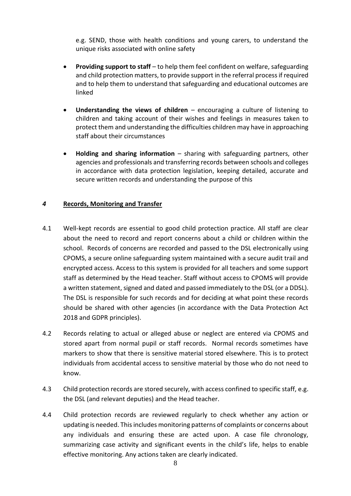e.g. SEND, those with health conditions and young carers, to understand the unique risks associated with online safety

- **Providing support to staff** to help them feel confident on welfare, safeguarding and child protection matters, to provide support in the referral process if required and to help them to understand that safeguarding and educational outcomes are linked
- **Understanding the views of children**  encouraging a culture of listening to children and taking account of their wishes and feelings in measures taken to protect them and understanding the difficulties children may have in approaching staff about their circumstances
- **Holding and sharing information** sharing with safeguarding partners, other agencies and professionals and transferring records between schools and colleges in accordance with data protection legislation, keeping detailed, accurate and secure written records and understanding the purpose of this

#### *4* **Records, Monitoring and Transfer**

- 4.1 Well-kept records are essential to good child protection practice. All staff are clear about the need to record and report concerns about a child or children within the school. Records of concerns are recorded and passed to the DSL electronically using CPOMS, a secure online safeguarding system maintained with a secure audit trail and encrypted access. Access to this system is provided for all teachers and some support staff as determined by the Head teacher. Staff without access to CPOMS will provide a written statement, signed and dated and passed immediately to the DSL (or a DDSL). The DSL is responsible for such records and for deciding at what point these records should be shared with other agencies (in accordance with the Data Protection Act 2018 and GDPR principles).
- 4.2 Records relating to actual or alleged abuse or neglect are entered via CPOMS and stored apart from normal pupil or staff records. Normal records sometimes have markers to show that there is sensitive material stored elsewhere. This is to protect individuals from accidental access to sensitive material by those who do not need to know.
- 4.3 Child protection records are stored securely, with access confined to specific staff, e.g. the DSL (and relevant deputies) and the Head teacher.
- 4.4 Child protection records are reviewed regularly to check whether any action or updating is needed. This includes monitoring patterns of complaints or concerns about any individuals and ensuring these are acted upon. A case file chronology, summarizing case activity and significant events in the child's life, helps to enable effective monitoring. Any actions taken are clearly indicated.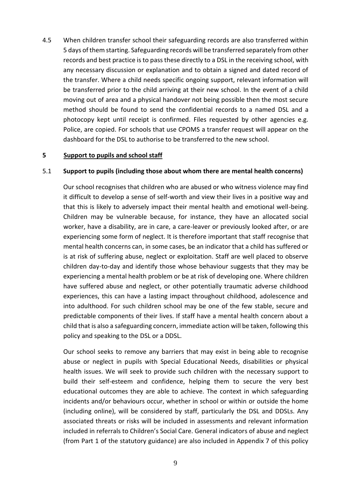4.5 When children transfer school their safeguarding records are also transferred within 5 days of them starting. Safeguarding records will be transferred separately from other records and best practice is to pass these directly to a DSL in the receiving school, with any necessary discussion or explanation and to obtain a signed and dated record of the transfer. Where a child needs specific ongoing support, relevant information will be transferred prior to the child arriving at their new school. In the event of a child moving out of area and a physical handover not being possible then the most secure method should be found to send the confidential records to a named DSL and a photocopy kept until receipt is confirmed. Files requested by other agencies e.g. Police, are copied. For schools that use CPOMS a transfer request will appear on the dashboard for the DSL to authorise to be transferred to the new school.

#### **5 Support to pupils and school staff**

#### 5.1 **Support to pupils (including those about whom there are mental health concerns)**

Our school recognises that children who are abused or who witness violence may find it difficult to develop a sense of self-worth and view their lives in a positive way and that this is likely to adversely impact their mental health and emotional well-being. Children may be vulnerable because, for instance, they have an allocated social worker, have a disability, are in care, a care-leaver or previously looked after, or are experiencing some form of neglect. It is therefore important that staff recognise that mental health concerns can, in some cases, be an indicator that a child has suffered or is at risk of suffering abuse, neglect or exploitation. Staff are well placed to observe children day-to-day and identify those whose behaviour suggests that they may be experiencing a mental health problem or be at risk of developing one. Where children have suffered abuse and neglect, or other potentially traumatic adverse childhood experiences, this can have a lasting impact throughout childhood, adolescence and into adulthood. For such children school may be one of the few stable, secure and predictable components of their lives. If staff have a mental health concern about a child that is also a safeguarding concern, immediate action will be taken, following this policy and speaking to the DSL or a DDSL.

Our school seeks to remove any barriers that may exist in being able to recognise abuse or neglect in pupils with Special Educational Needs, disabilities or physical health issues. We will seek to provide such children with the necessary support to build their self-esteem and confidence, helping them to secure the very best educational outcomes they are able to achieve. The context in which safeguarding incidents and/or behaviours occur, whether in school or within or outside the home (including online), will be considered by staff, particularly the DSL and DDSLs. Any associated threats or risks will be included in assessments and relevant information included in referrals to Children's Social Care. General indicators of abuse and neglect (from Part 1 of the statutory guidance) are also included in Appendix 7 of this policy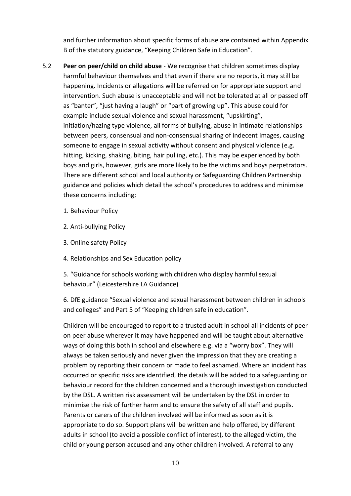and further information about specific forms of abuse are contained within Appendix B of the statutory guidance, "Keeping Children Safe in Education".

- 5.2 **Peer on peer/child on child abuse** We recognise that children sometimes display harmful behaviour themselves and that even if there are no reports, it may still be happening. Incidents or allegations will be referred on for appropriate support and intervention. Such abuse is unacceptable and will not be tolerated at all or passed off as "banter", "just having a laugh" or "part of growing up". This abuse could for example include sexual violence and sexual harassment, "upskirting", initiation/hazing type violence, all forms of bullying, abuse in intimate relationships between peers, consensual and non-consensual sharing of indecent images, causing someone to engage in sexual activity without consent and physical violence (e.g. hitting, kicking, shaking, biting, hair pulling, etc.). This may be experienced by both boys and girls, however, girls are more likely to be the victims and boys perpetrators. There are different school and local authority or Safeguarding Children Partnership guidance and policies which detail the school's procedures to address and minimise these concerns including;
	- 1. Behaviour Policy
	- 2. Anti-bullying Policy
	- 3. Online safety Policy
	- 4. Relationships and Sex Education policy

5. "Guidance for schools working with children who display harmful sexual behaviour" (Leicestershire LA Guidance)

6. DfE guidance "Sexual violence and sexual harassment between children in schools and colleges" and Part 5 of "Keeping children safe in education".

Children will be encouraged to report to a trusted adult in school all incidents of peer on peer abuse wherever it may have happened and will be taught about alternative ways of doing this both in school and elsewhere e.g. via a "worry box". They will always be taken seriously and never given the impression that they are creating a problem by reporting their concern or made to feel ashamed. Where an incident has occurred or specific risks are identified, the details will be added to a safeguarding or behaviour record for the children concerned and a thorough investigation conducted by the DSL. A written risk assessment will be undertaken by the DSL in order to minimise the risk of further harm and to ensure the safety of all staff and pupils. Parents or carers of the children involved will be informed as soon as it is appropriate to do so. Support plans will be written and help offered, by different adults in school (to avoid a possible conflict of interest), to the alleged victim, the child or young person accused and any other children involved. A referral to any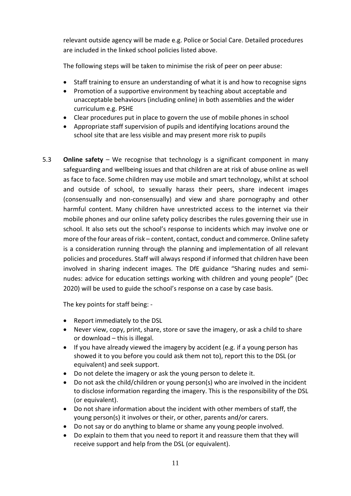relevant outside agency will be made e.g. Police or Social Care. Detailed procedures are included in the linked school policies listed above.

The following steps will be taken to minimise the risk of peer on peer abuse:

- Staff training to ensure an understanding of what it is and how to recognise signs
- Promotion of a supportive environment by teaching about acceptable and unacceptable behaviours (including online) in both assemblies and the wider curriculum e.g. PSHE
- Clear procedures put in place to govern the use of mobile phones in school
- Appropriate staff supervision of pupils and identifying locations around the school site that are less visible and may present more risk to pupils
- 5.3 **Online safety**  We recognise that technology is a significant component in many safeguarding and wellbeing issues and that children are at risk of abuse online as well as face to face. Some children may use mobile and smart technology, whilst at school and outside of school, to sexually harass their peers, share indecent images (consensually and non-consensually) and view and share pornography and other harmful content. Many children have unrestricted access to the internet via their mobile phones and our online safety policy describes the rules governing their use in school. It also sets out the school's response to incidents which may involve one or more of the four areas of risk – content, contact, conduct and commerce. Online safety is a consideration running through the planning and implementation of all relevant policies and procedures. Staff will always respond if informed that children have been involved in sharing indecent images. The DfE guidance "Sharing nudes and seminudes: advice for education settings working with children and young people" (Dec 2020) will be used to guide the school's response on a case by case basis.

The key points for staff being: -

- Report immediately to the DSL
- Never view, copy, print, share, store or save the imagery, or ask a child to share or download – this is illegal.
- If you have already viewed the imagery by accident (e.g. if a young person has showed it to you before you could ask them not to), report this to the DSL (or equivalent) and seek support.
- Do not delete the imagery or ask the young person to delete it.
- Do not ask the child/children or young person(s) who are involved in the incident to disclose information regarding the imagery. This is the responsibility of the DSL (or equivalent).
- Do not share information about the incident with other members of staff, the young person(s) it involves or their, or other, parents and/or carers.
- Do not say or do anything to blame or shame any young people involved.
- Do explain to them that you need to report it and reassure them that they will receive support and help from the DSL (or equivalent).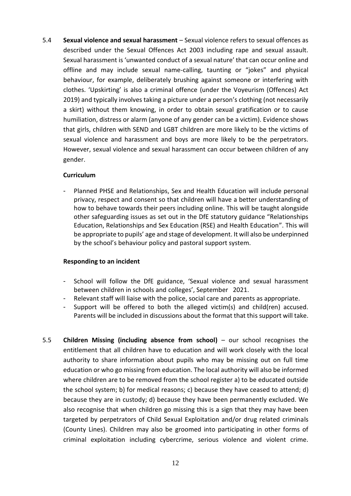5.4 **Sexual violence and sexual harassment** – Sexual violence refers to sexual offences as described under the Sexual Offences Act 2003 including rape and sexual assault. Sexual harassment is 'unwanted conduct of a sexual nature' that can occur online and offline and may include sexual name-calling, taunting or "jokes" and physical behaviour, for example, deliberately brushing against someone or interfering with clothes. 'Upskirting' is also a criminal offence (under the Voyeurism (Offences) Act 2019) and typically involves taking a picture under a person's clothing (not necessarily a skirt) without them knowing, in order to obtain sexual gratification or to cause humiliation, distress or alarm (anyone of any gender can be a victim). Evidence shows that girls, children with SEND and LGBT children are more likely to be the victims of sexual violence and harassment and boys are more likely to be the perpetrators. However, sexual violence and sexual harassment can occur between children of any gender.

#### **Curriculum**

Planned PHSE and Relationships, Sex and Health Education will include personal privacy, respect and consent so that children will have a better understanding of how to behave towards their peers including online. This will be taught alongside other safeguarding issues as set out in the DfE statutory guidance "Relationships Education, Relationships and Sex Education (RSE) and Health Education". This will be appropriate to pupils' age and stage of development. It will also be underpinned by the school's behaviour policy and pastoral support system.

#### **Responding to an incident**

- School will follow the DfE guidance, 'Sexual violence and sexual harassment between children in schools and colleges', September 2021.
- Relevant staff will liaise with the police, social care and parents as appropriate.
- Support will be offered to both the alleged victim(s) and child(ren) accused. Parents will be included in discussions about the format that this support will take.
- 5.5 **Children Missing (including absence from school)** our school recognises the entitlement that all children have to education and will work closely with the local authority to share information about pupils who may be missing out on full time education or who go missing from education. The local authority will also be informed where children are to be removed from the school register a) to be educated outside the school system; b) for medical reasons; c) because they have ceased to attend; d) because they are in custody; d) because they have been permanently excluded. We also recognise that when children go missing this is a sign that they may have been targeted by perpetrators of Child Sexual Exploitation and/or drug related criminals (County Lines). Children may also be groomed into participating in other forms of criminal exploitation including cybercrime, serious violence and violent crime.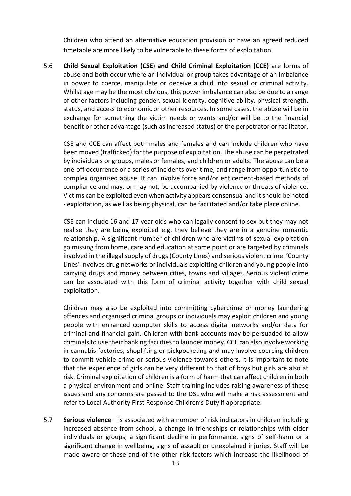Children who attend an alternative education provision or have an agreed reduced timetable are more likely to be vulnerable to these forms of exploitation.

5.6 **Child Sexual Exploitation (CSE) and Child Criminal Exploitation (CCE)** are forms of abuse and both occur where an individual or group takes advantage of an imbalance in power to coerce, manipulate or deceive a child into sexual or criminal activity. Whilst age may be the most obvious, this power imbalance can also be due to a range of other factors including gender, sexual identity, cognitive ability, physical strength, status, and access to economic or other resources. In some cases, the abuse will be in exchange for something the victim needs or wants and/or will be to the financial benefit or other advantage (such as increased status) of the perpetrator or facilitator.

CSE and CCE can affect both males and females and can include children who have been moved (trafficked) for the purpose of exploitation. The abuse can be perpetrated by individuals or groups, males or females, and children or adults. The abuse can be a one-off occurrence or a series of incidents over time, and range from opportunistic to complex organised abuse. It can involve force and/or enticement-based methods of compliance and may, or may not, be accompanied by violence or threats of violence. Victims can be exploited even when activity appears consensual and it should be noted - exploitation, as well as being physical, can be facilitated and/or take place online.

CSE can include 16 and 17 year olds who can legally consent to sex but they may not realise they are being exploited e.g. they believe they are in a genuine romantic relationship. A significant number of children who are victims of sexual exploitation go missing from home, care and education at some point or are targeted by criminals involved in the illegal supply of drugs (County Lines) and serious violent crime. 'County Lines' involves drug networks or individuals exploiting children and young people into carrying drugs and money between cities, towns and villages. Serious violent crime can be associated with this form of criminal activity together with child sexual exploitation.

Children may also be exploited into committing cybercrime or money laundering offences and organised criminal groups or individuals may exploit children and young people with enhanced computer skills to access digital networks and/or data for criminal and financial gain. Children with bank accounts may be persuaded to allow criminals to use their banking facilities to launder money. CCE can also involve working in cannabis factories, shoplifting or pickpocketing and may involve coercing children to commit vehicle crime or serious violence towards others. It is important to note that the experience of girls can be very different to that of boys but girls are also at risk. Criminal exploitation of children is a form of harm that can affect children in both a physical environment and online. Staff training includes raising awareness of these issues and any concerns are passed to the DSL who will make a risk assessment and refer to Local Authority First Response Children's Duty if appropriate.

5.7 **Serious violence** – is associated with a number of risk indicators in children including increased absence from school, a change in friendships or relationships with older individuals or groups, a significant decline in performance, signs of self-harm or a significant change in wellbeing, signs of assault or unexplained injuries. Staff will be made aware of these and of the other risk factors which increase the likelihood of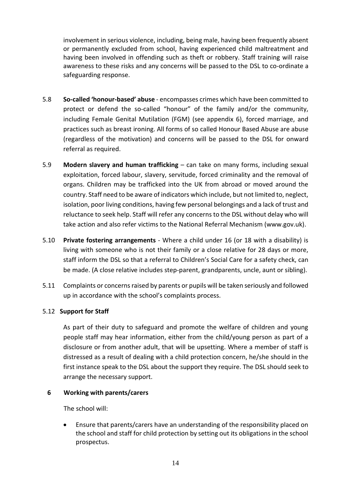involvement in serious violence, including, being male, having been frequently absent or permanently excluded from school, having experienced child maltreatment and having been involved in offending such as theft or robbery. Staff training will raise awareness to these risks and any concerns will be passed to the DSL to co-ordinate a safeguarding response.

- 5.8 **So-called 'honour-based' abuse** encompasses crimes which have been committed to protect or defend the so-called "honour" of the family and/or the community, including Female Genital Mutilation (FGM) (see appendix 6), forced marriage, and practices such as breast ironing. All forms of so called Honour Based Abuse are abuse (regardless of the motivation) and concerns will be passed to the DSL for onward referral as required.
- 5.9 **Modern slavery and human trafficking** can take on many forms, including sexual exploitation, forced labour, slavery, servitude, forced criminality and the removal of organs. Children may be trafficked into the UK from abroad or moved around the country. Staff need to be aware of indicators which include, but not limited to, neglect, isolation, poor living conditions, having few personal belongings and a lack of trust and reluctance to seek help. Staff will refer any concerns to the DSL without delay who will take action and also refer victims to the National Referral Mechanism (www.gov.uk).
- 5.10 **Private fostering arrangements** Where a child under 16 (or 18 with a disability) is living with someone who is not their family or a close relative for 28 days or more, staff inform the DSL so that a referral to Children's Social Care for a safety check, can be made. (A close relative includes step-parent, grandparents, uncle, aunt or sibling).
- 5.11 Complaints or concerns raised by parents or pupils will be taken seriously and followed up in accordance with the school's complaints process.

# 5.12 **Support for Staff**

As part of their duty to safeguard and promote the welfare of children and young people staff may hear information, either from the child/young person as part of a disclosure or from another adult, that will be upsetting. Where a member of staff is distressed as a result of dealing with a child protection concern, he/she should in the first instance speak to the DSL about the support they require. The DSL should seek to arrange the necessary support.

# **6 Working with parents/carers**

The school will:

 Ensure that parents/carers have an understanding of the responsibility placed on the school and staff for child protection by setting out its obligations in the school prospectus.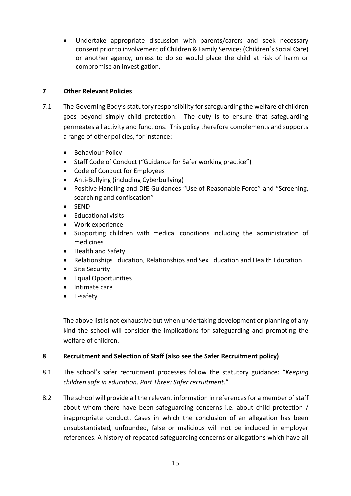Undertake appropriate discussion with parents/carers and seek necessary consent prior to involvement of Children & Family Services (Children's Social Care) or another agency, unless to do so would place the child at risk of harm or compromise an investigation.

# **7 Other Relevant Policies**

- 7.1 The Governing Body's statutory responsibility for safeguarding the welfare of children goes beyond simply child protection. The duty is to ensure that safeguarding permeates all activity and functions. This policy therefore complements and supports a range of other policies, for instance:
	- **•** Behaviour Policy
	- Staff Code of Conduct ("Guidance for Safer working practice")
	- Code of Conduct for Employees
	- Anti-Bullying (including Cyberbullying)
	- Positive Handling and DfE Guidances "Use of Reasonable Force" and "Screening, searching and confiscation"
	- SEND
	- Educational visits
	- Work experience
	- Supporting children with medical conditions including the administration of medicines
	- Health and Safety
	- Relationships Education, Relationships and Sex Education and Health Education
	- Site Security
	- Equal Opportunities
	- Intimate care
	- E-safety

The above list is not exhaustive but when undertaking development or planning of any kind the school will consider the implications for safeguarding and promoting the welfare of children.

# **8 Recruitment and Selection of Staff (also see the Safer Recruitment policy)**

- 8.1 The school's safer recruitment processes follow the statutory guidance: "*Keeping children safe in education, Part Three: Safer recruitment*."
- 8.2 The school will provide all the relevant information in references for a member of staff about whom there have been safeguarding concerns i.e. about child protection / inappropriate conduct. Cases in which the conclusion of an allegation has been unsubstantiated, unfounded, false or malicious will not be included in employer references. A history of repeated safeguarding concerns or allegations which have all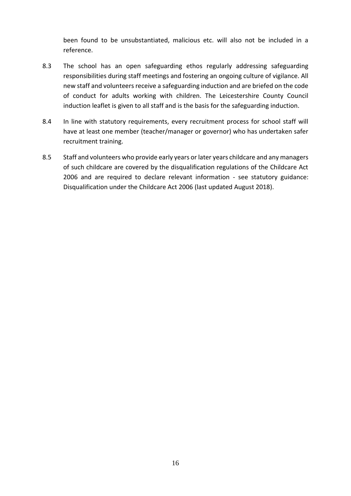been found to be unsubstantiated, malicious etc. will also not be included in a reference.

- 8.3 The school has an open safeguarding ethos regularly addressing safeguarding responsibilities during staff meetings and fostering an ongoing culture of vigilance. All new staff and volunteers receive a safeguarding induction and are briefed on the code of conduct for adults working with children. The Leicestershire County Council induction leaflet is given to all staff and is the basis for the safeguarding induction.
- 8.4 In line with statutory requirements, every recruitment process for school staff will have at least one member (teacher/manager or governor) who has undertaken safer recruitment training.
- 8.5 Staff and volunteers who provide early years or later years childcare and any managers of such childcare are covered by the disqualification regulations of the Childcare Act 2006 and are required to declare relevant information - see statutory guidance: Disqualification under the Childcare Act 2006 (last updated August 2018).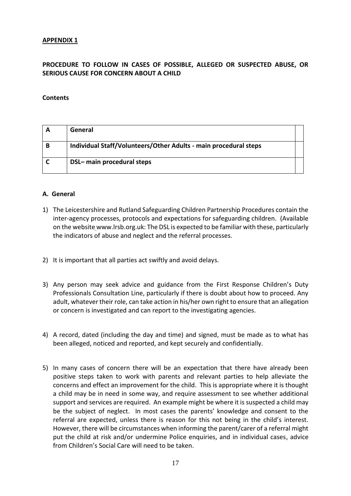# **PROCEDURE TO FOLLOW IN CASES OF POSSIBLE, ALLEGED OR SUSPECTED ABUSE, OR SERIOUS CAUSE FOR CONCERN ABOUT A CHILD**

#### **Contents**

|   | General                                                          |  |
|---|------------------------------------------------------------------|--|
| В | Individual Staff/Volunteers/Other Adults - main procedural steps |  |
|   | DSL- main procedural steps                                       |  |

#### **A. General**

- 1) The Leicestershire and Rutland Safeguarding Children Partnership Procedures contain the inter-agency processes, protocols and expectations for safeguarding children. (Available on the website www.lrsb.org.uk: The DSL is expected to be familiar with these, particularly the indicators of abuse and neglect and the referral processes.
- 2) It is important that all parties act swiftly and avoid delays.
- 3) Any person may seek advice and guidance from the First Response Children's Duty Professionals Consultation Line, particularly if there is doubt about how to proceed. Any adult, whatever their role, can take action in his/her own right to ensure that an allegation or concern is investigated and can report to the investigating agencies.
- 4) A record, dated (including the day and time) and signed, must be made as to what has been alleged, noticed and reported, and kept securely and confidentially.
- 5) In many cases of concern there will be an expectation that there have already been positive steps taken to work with parents and relevant parties to help alleviate the concerns and effect an improvement for the child. This is appropriate where it is thought a child may be in need in some way, and require assessment to see whether additional support and services are required. An example might be where it is suspected a child may be the subject of neglect. In most cases the parents' knowledge and consent to the referral are expected, unless there is reason for this not being in the child's interest. However, there will be circumstances when informing the parent/carer of a referral might put the child at risk and/or undermine Police enquiries, and in individual cases, advice from Children's Social Care will need to be taken.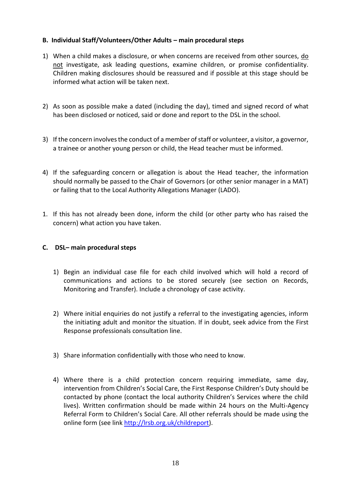# **B. Individual Staff/Volunteers/Other Adults – main procedural steps**

- 1) When a child makes a disclosure, or when concerns are received from other sources, do not investigate, ask leading questions, examine children, or promise confidentiality. Children making disclosures should be reassured and if possible at this stage should be informed what action will be taken next.
- 2) As soon as possible make a dated (including the day), timed and signed record of what has been disclosed or noticed, said or done and report to the DSL in the school.
- 3) If the concern involves the conduct of a member of staff or volunteer, a visitor, a governor, a trainee or another young person or child, the Head teacher must be informed.
- 4) If the safeguarding concern or allegation is about the Head teacher, the information should normally be passed to the Chair of Governors (or other senior manager in a MAT) or failing that to the Local Authority Allegations Manager (LADO).
- 1. If this has not already been done, inform the child (or other party who has raised the concern) what action you have taken.

## **C. DSL– main procedural steps**

- 1) Begin an individual case file for each child involved which will hold a record of communications and actions to be stored securely (see section on Records, Monitoring and Transfer). Include a chronology of case activity.
- 2) Where initial enquiries do not justify a referral to the investigating agencies, inform the initiating adult and monitor the situation. If in doubt, seek advice from the First Response professionals consultation line.
- 3) Share information confidentially with those who need to know.
- 4) Where there is a child protection concern requiring immediate, same day, intervention from Children's Social Care, the First Response Children's Duty should be contacted by phone (contact the local authority Children's Services where the child lives). Written confirmation should be made within 24 hours on the Multi-Agency Referral Form to Children's Social Care. All other referrals should be made using the online form (see link [http://lrsb.org.uk/childreport\)](http://lrsb.org.uk/childreport).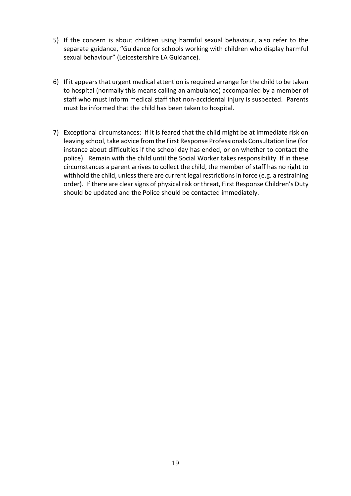- 5) If the concern is about children using harmful sexual behaviour, also refer to the separate guidance, "Guidance for schools working with children who display harmful sexual behaviour" (Leicestershire LA Guidance).
- 6) If it appears that urgent medical attention is required arrange for the child to be taken to hospital (normally this means calling an ambulance) accompanied by a member of staff who must inform medical staff that non-accidental injury is suspected. Parents must be informed that the child has been taken to hospital.
- 7) Exceptional circumstances: If it is feared that the child might be at immediate risk on leaving school, take advice from the First Response Professionals Consultation line (for instance about difficulties if the school day has ended, or on whether to contact the police). Remain with the child until the Social Worker takes responsibility. If in these circumstances a parent arrives to collect the child, the member of staff has no right to withhold the child, unless there are current legal restrictions in force (e.g. a restraining order). If there are clear signs of physical risk or threat, First Response Children's Duty should be updated and the Police should be contacted immediately.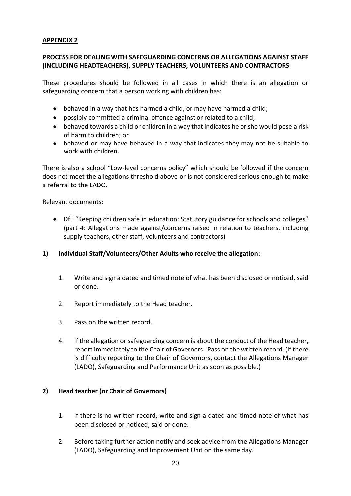## **PROCESS FOR DEALING WITH SAFEGUARDING CONCERNS OR ALLEGATIONS AGAINST STAFF (INCLUDING HEADTEACHERS), SUPPLY TEACHERS, VOLUNTEERS AND CONTRACTORS**

These procedures should be followed in all cases in which there is an allegation or safeguarding concern that a person working with children has:

- behaved in a way that has harmed a child, or may have harmed a child;
- possibly committed a criminal offence against or related to a child;
- behaved towards a child or children in a way that indicates he or she would pose a risk of harm to children; or
- behaved or may have behaved in a way that indicates they may not be suitable to work with children.

There is also a school "Low-level concerns policy" which should be followed if the concern does not meet the allegations threshold above or is not considered serious enough to make a referral to the LADO.

Relevant documents:

 DfE "Keeping children safe in education: Statutory guidance for schools and colleges" (part 4: Allegations made against/concerns raised in relation to teachers, including supply teachers, other staff, volunteers and contractors)

# **1) Individual Staff/Volunteers/Other Adults who receive the allegation**:

- 1. Write and sign a dated and timed note of what has been disclosed or noticed, said or done.
- 2. Report immediately to the Head teacher.
- 3. Pass on the written record.
- 4. If the allegation or safeguarding concern is about the conduct of the Head teacher, report immediately to the Chair of Governors. Pass on the written record. (If there is difficulty reporting to the Chair of Governors, contact the Allegations Manager (LADO), Safeguarding and Performance Unit as soon as possible.)

# **2) Head teacher (or Chair of Governors)**

- 1. If there is no written record, write and sign a dated and timed note of what has been disclosed or noticed, said or done.
- 2. Before taking further action notify and seek advice from the Allegations Manager (LADO), Safeguarding and Improvement Unit on the same day.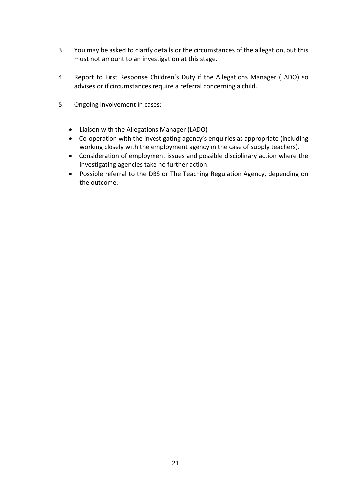- 3. You may be asked to clarify details or the circumstances of the allegation, but this must not amount to an investigation at this stage.
- 4. Report to First Response Children's Duty if the Allegations Manager (LADO) so advises or if circumstances require a referral concerning a child.
- 5. Ongoing involvement in cases:
	- Liaison with the Allegations Manager (LADO)
	- Co-operation with the investigating agency's enquiries as appropriate (including working closely with the employment agency in the case of supply teachers).
	- Consideration of employment issues and possible disciplinary action where the investigating agencies take no further action.
	- Possible referral to the DBS or The Teaching Regulation Agency, depending on the outcome.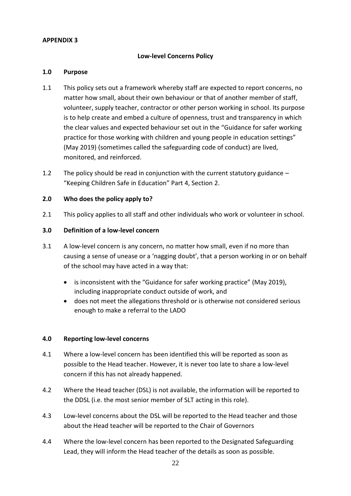#### **Low-level Concerns Policy**

#### **1.0 Purpose**

- 1.1 This policy sets out a framework whereby staff are expected to report concerns, no matter how small, about their own behaviour or that of another member of staff, volunteer, supply teacher, contractor or other person working in school. Its purpose is to help create and embed a culture of openness, trust and transparency in which the clear values and expected behaviour set out in the "Guidance for safer working practice for those working with children and young people in education settings" (May 2019) (sometimes called the safeguarding code of conduct) are lived, monitored, and reinforced.
- 1.2 The policy should be read in conjunction with the current statutory guidance "Keeping Children Safe in Education" Part 4, Section 2.

#### **2.0 Who does the policy apply to?**

2.1 This policy applies to all staff and other individuals who work or volunteer in school.

#### **3.0 Definition of a low-level concern**

- 3.1 A low-level concern is any concern, no matter how small, even if no more than causing a sense of unease or a 'nagging doubt', that a person working in or on behalf of the school may have acted in a way that:
	- is inconsistent with the "Guidance for safer working practice" (May 2019), including inappropriate conduct outside of work, and
	- does not meet the allegations threshold or is otherwise not considered serious enough to make a referral to the LADO

#### **4.0 Reporting low-level concerns**

- 4.1 Where a low-level concern has been identified this will be reported as soon as possible to the Head teacher. However, it is never too late to share a low-level concern if this has not already happened.
- 4.2 Where the Head teacher (DSL) is not available, the information will be reported to the DDSL (i.e. the most senior member of SLT acting in this role).
- 4.3 Low-level concerns about the DSL will be reported to the Head teacher and those about the Head teacher will be reported to the Chair of Governors
- 4.4 Where the low-level concern has been reported to the Designated Safeguarding Lead, they will inform the Head teacher of the details as soon as possible.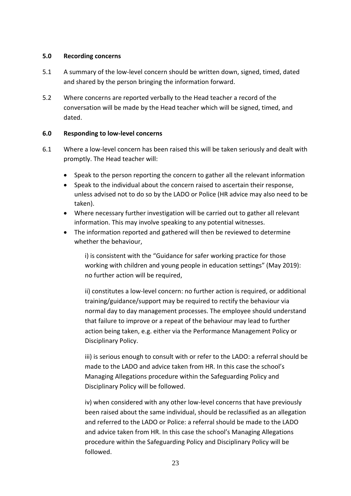#### **5.0 Recording concerns**

- 5.1 A summary of the low-level concern should be written down, signed, timed, dated and shared by the person bringing the information forward.
- 5.2 Where concerns are reported verbally to the Head teacher a record of the conversation will be made by the Head teacher which will be signed, timed, and dated.

# **6.0 Responding to low-level concerns**

- 6.1 Where a low-level concern has been raised this will be taken seriously and dealt with promptly. The Head teacher will:
	- Speak to the person reporting the concern to gather all the relevant information
	- Speak to the individual about the concern raised to ascertain their response, unless advised not to do so by the LADO or Police (HR advice may also need to be taken).
	- Where necessary further investigation will be carried out to gather all relevant information. This may involve speaking to any potential witnesses.
	- The information reported and gathered will then be reviewed to determine whether the behaviour,

i) is consistent with the "Guidance for safer working practice for those working with children and young people in education settings" (May 2019): no further action will be required,

ii) constitutes a low-level concern: no further action is required, or additional training/guidance/support may be required to rectify the behaviour via normal day to day management processes. The employee should understand that failure to improve or a repeat of the behaviour may lead to further action being taken, e.g. either via the Performance Management Policy or Disciplinary Policy.

iii) is serious enough to consult with or refer to the LADO: a referral should be made to the LADO and advice taken from HR. In this case the school's Managing Allegations procedure within the Safeguarding Policy and Disciplinary Policy will be followed.

iv) when considered with any other low-level concerns that have previously been raised about the same individual, should be reclassified as an allegation and referred to the LADO or Police: a referral should be made to the LADO and advice taken from HR. In this case the school's Managing Allegations procedure within the Safeguarding Policy and Disciplinary Policy will be followed.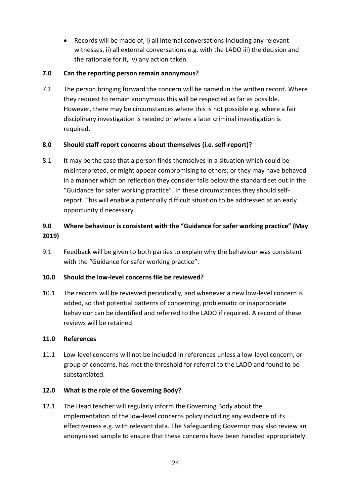Records will be made of, i) all internal conversations including any relevant witnesses, ii) all external conversations e.g. with the LADO iii) the decision and the rationale for it, iv) any action taken

# **7.0 Can the reporting person remain anonymous?**

7.1 The person bringing forward the concern will be named in the written record. Where they request to remain anonymous this will be respected as far as possible. However, there may be circumstances where this is not possible e.g. where a fair disciplinary investigation is needed or where a later criminal investigation is required.

# **8.0 Should staff report concerns about themselves (i.e. self-report)?**

8.1 It may be the case that a person finds themselves in a situation which could be misinterpreted, or might appear compromising to others; or they may have behaved in a manner which on reflection they consider falls below the standard set out in the "Guidance for safer working practice". In these circumstances they should selfreport. This will enable a potentially difficult situation to be addressed at an early opportunity if necessary.

# **9.0 Where behaviour is consistent with the "Guidance for safer working practice" (May 2019)**

9.1 Feedback will be given to both parties to explain why the behaviour was consistent with the "Guidance for safer working practice".

# **10.0 Should the low-level concerns file be reviewed?**

10.1 The records will be reviewed periodically, and whenever a new low-level concern is added, so that potential patterns of concerning, problematic or inappropriate behaviour can be identified and referred to the LADO if required. A record of these reviews will be retained.

# **11.0 References**

11.1 Low-level concerns will not be included in references unless a low-level concern, or group of concerns, has met the threshold for referral to the LADO and found to be substantiated.

# **12.0 What is the role of the Governing Body?**

12.1 The Head teacher will regularly inform the Governing Body about the implementation of the low-level concerns policy including any evidence of its effectiveness e.g. with relevant data. The Safeguarding Governor may also review an anonymised sample to ensure that these concerns have been handled appropriately.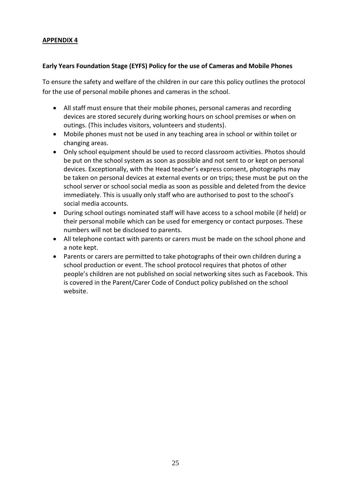#### **Early Years Foundation Stage (EYFS) Policy for the use of Cameras and Mobile Phones**

To ensure the safety and welfare of the children in our care this policy outlines the protocol for the use of personal mobile phones and cameras in the school.

- All staff must ensure that their mobile phones, personal cameras and recording devices are stored securely during working hours on school premises or when on outings. (This includes visitors, volunteers and students).
- Mobile phones must not be used in any teaching area in school or within toilet or changing areas.
- Only school equipment should be used to record classroom activities. Photos should be put on the school system as soon as possible and not sent to or kept on personal devices. Exceptionally, with the Head teacher's express consent, photographs may be taken on personal devices at external events or on trips; these must be put on the school server or school social media as soon as possible and deleted from the device immediately. This is usually only staff who are authorised to post to the school's social media accounts.
- During school outings nominated staff will have access to a school mobile (if held) or their personal mobile which can be used for emergency or contact purposes. These numbers will not be disclosed to parents.
- All telephone contact with parents or carers must be made on the school phone and a note kept.
- Parents or carers are permitted to take photographs of their own children during a school production or event. The school protocol requires that photos of other people's children are not published on social networking sites such as Facebook. This is covered in the Parent/Carer Code of Conduct policy published on the school website.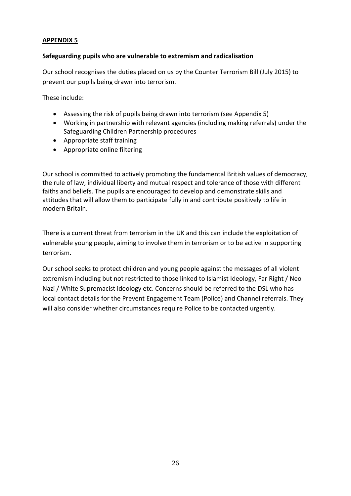#### **Safeguarding pupils who are vulnerable to extremism and radicalisation**

Our school recognises the duties placed on us by the Counter Terrorism Bill (July 2015) to prevent our pupils being drawn into terrorism.

These include:

- Assessing the risk of pupils being drawn into terrorism (see Appendix 5)
- Working in partnership with relevant agencies (including making referrals) under the Safeguarding Children Partnership procedures
- Appropriate staff training
- Appropriate online filtering

Our school is committed to actively promoting the fundamental British values of democracy, the rule of law, individual liberty and mutual respect and tolerance of those with different faiths and beliefs. The pupils are encouraged to develop and demonstrate skills and attitudes that will allow them to participate fully in and contribute positively to life in modern Britain.

There is a current threat from terrorism in the UK and this can include the exploitation of vulnerable young people, aiming to involve them in terrorism or to be active in supporting terrorism.

Our school seeks to protect children and young people against the messages of all violent extremism including but not restricted to those linked to Islamist Ideology, Far Right / Neo Nazi / White Supremacist ideology etc. Concerns should be referred to the DSL who has local contact details for the Prevent Engagement Team (Police) and Channel referrals. They will also consider whether circumstances require Police to be contacted urgently.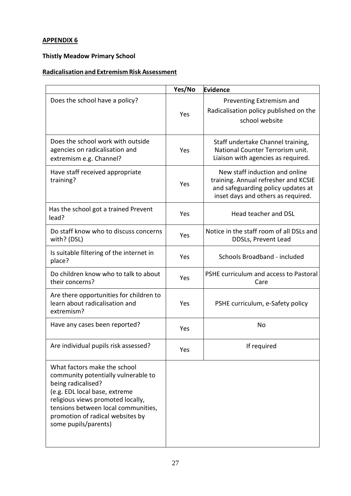# **Thistly Meadow Primary School**

# **Radicalisation and Extremism Risk Assessment**

|                                                                                                                                                                                                                                                                    | Yes/No | Evidence                                                                                                                                           |  |
|--------------------------------------------------------------------------------------------------------------------------------------------------------------------------------------------------------------------------------------------------------------------|--------|----------------------------------------------------------------------------------------------------------------------------------------------------|--|
| Does the school have a policy?                                                                                                                                                                                                                                     | Yes    | Preventing Extremism and<br>Radicalisation policy published on the<br>school website                                                               |  |
| Does the school work with outside<br>agencies on radicalisation and<br>extremism e.g. Channel?                                                                                                                                                                     | Yes    | Staff undertake Channel training,<br>National Counter Terrorism unit.<br>Liaison with agencies as required.                                        |  |
| Have staff received appropriate<br>training?                                                                                                                                                                                                                       | Yes    | New staff induction and online<br>training. Annual refresher and KCSIE<br>and safeguarding policy updates at<br>inset days and others as required. |  |
| Has the school got a trained Prevent<br>lead?                                                                                                                                                                                                                      | Yes    | Head teacher and DSL                                                                                                                               |  |
| Do staff know who to discuss concerns<br>with? (DSL)                                                                                                                                                                                                               | Yes    | Notice in the staff room of all DSLs and<br>DDSLs, Prevent Lead                                                                                    |  |
| Is suitable filtering of the internet in<br>place?                                                                                                                                                                                                                 | Yes    | Schools Broadband - included                                                                                                                       |  |
| Do children know who to talk to about<br>their concerns?                                                                                                                                                                                                           | Yes    | PSHE curriculum and access to Pastoral<br>Care                                                                                                     |  |
| Are there opportunities for children to<br>learn about radicalisation and<br>extremism?                                                                                                                                                                            | Yes    | PSHE curriculum, e-Safety policy                                                                                                                   |  |
| Have any cases been reported?                                                                                                                                                                                                                                      | Yes    | No                                                                                                                                                 |  |
| Are individual pupils risk assessed?                                                                                                                                                                                                                               | Yes    | If required                                                                                                                                        |  |
| What factors make the school<br>community potentially vulnerable to<br>being radicalised?<br>(e.g. EDL local base, extreme<br>religious views promoted locally,<br>tensions between local communities,<br>promotion of radical websites by<br>some pupils/parents) |        |                                                                                                                                                    |  |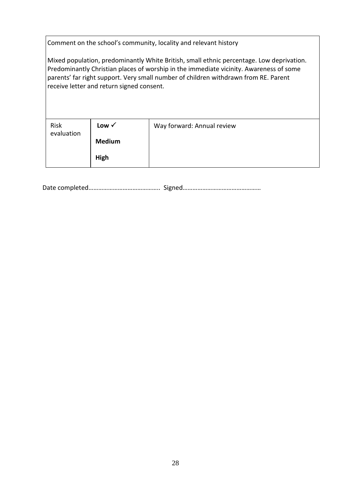Comment on the school's community, locality and relevant history

Mixed population, predominantly White British, small ethnic percentage. Low deprivation. Predominantly Christian places of worship in the immediate vicinity. Awareness of some parents' far right support. Very small number of children withdrawn from RE. Parent receive letter and return signed consent.

| Risk<br>evaluation | Low $\checkmark$ | Way forward: Annual review |
|--------------------|------------------|----------------------------|
|                    | <b>Medium</b>    |                            |
|                    | High             |                            |

Date completed…………………………………….. Signed…………………………………………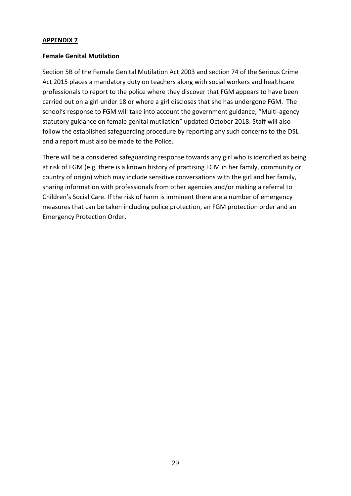#### **Female Genital Mutilation**

Section 5B of the Female Genital Mutilation Act 2003 and section 74 of the Serious Crime Act 2015 places a mandatory duty on teachers along with social workers and healthcare professionals to report to the police where they discover that FGM appears to have been carried out on a girl under 18 or where a girl discloses that she has undergone FGM. The school's response to FGM will take into account the government guidance, "Multi-agency statutory guidance on female genital mutilation" updated October 2018. Staff will also follow the established safeguarding procedure by reporting any such concerns to the DSL and a report must also be made to the Police.

There will be a considered safeguarding response towards any girl who is identified as being at risk of FGM (e.g. there is a known history of practising FGM in her family, community or country of origin) which may include sensitive conversations with the girl and her family, sharing information with professionals from other agencies and/or making a referral to Children's Social Care. If the risk of harm is imminent there are a number of emergency measures that can be taken including police protection, an FGM protection order and an Emergency Protection Order.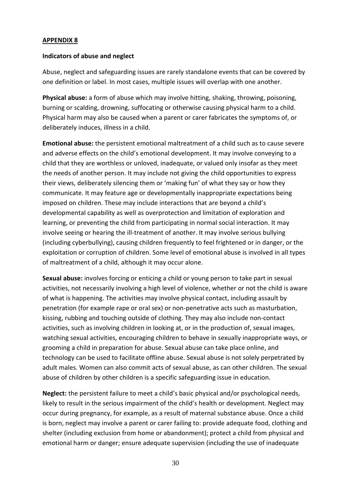#### **Indicators of abuse and neglect**

Abuse, neglect and safeguarding issues are rarely standalone events that can be covered by one definition or label. In most cases, multiple issues will overlap with one another.

**Physical abuse:** a form of abuse which may involve hitting, shaking, throwing, poisoning, burning or scalding, drowning, suffocating or otherwise causing physical harm to a child. Physical harm may also be caused when a parent or carer fabricates the symptoms of, or deliberately induces, illness in a child.

**Emotional abuse:** the persistent emotional maltreatment of a child such as to cause severe and adverse effects on the child's emotional development. It may involve conveying to a child that they are worthless or unloved, inadequate, or valued only insofar as they meet the needs of another person. It may include not giving the child opportunities to express their views, deliberately silencing them or 'making fun' of what they say or how they communicate. It may feature age or developmentally inappropriate expectations being imposed on children. These may include interactions that are beyond a child's developmental capability as well as overprotection and limitation of exploration and learning, or preventing the child from participating in normal social interaction. It may involve seeing or hearing the ill-treatment of another. It may involve serious bullying (including cyberbullying), causing children frequently to feel frightened or in danger, or the exploitation or corruption of children. Some level of emotional abuse is involved in all types of maltreatment of a child, although it may occur alone.

**Sexual abuse:** involves forcing or enticing a child or young person to take part in sexual activities, not necessarily involving a high level of violence, whether or not the child is aware of what is happening. The activities may involve physical contact, including assault by penetration (for example rape or oral sex) or non-penetrative acts such as masturbation, kissing, rubbing and touching outside of clothing. They may also include non-contact activities, such as involving children in looking at, or in the production of, sexual images, watching sexual activities, encouraging children to behave in sexually inappropriate ways, or grooming a child in preparation for abuse. Sexual abuse can take place online, and technology can be used to facilitate offline abuse. Sexual abuse is not solely perpetrated by adult males. Women can also commit acts of sexual abuse, as can other children. The sexual abuse of children by other children is a specific safeguarding issue in education.

**Neglect:** the persistent failure to meet a child's basic physical and/or psychological needs, likely to result in the serious impairment of the child's health or development. Neglect may occur during pregnancy, for example, as a result of maternal substance abuse. Once a child is born, neglect may involve a parent or carer failing to: provide adequate food, clothing and shelter (including exclusion from home or abandonment); protect a child from physical and emotional harm or danger; ensure adequate supervision (including the use of inadequate